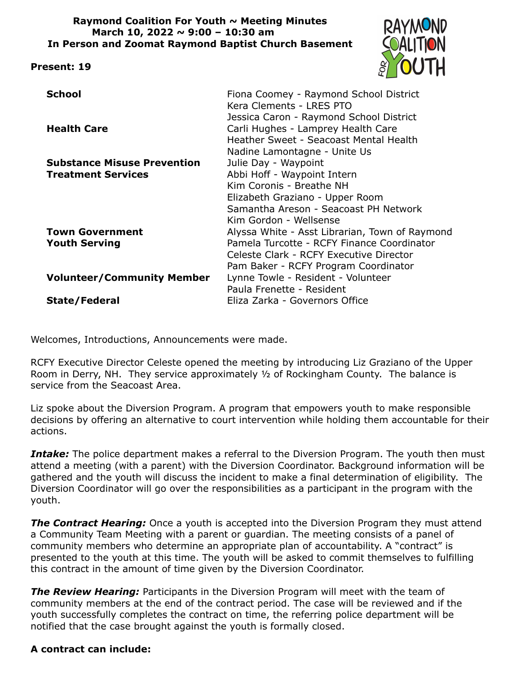#### **Raymond Coalition For Youth ~ Meeting Minutes March 10, 2022 ~ 9:00 – 10:30 am In Person and Zoomat Raymond Baptist Church Basement**

#### **Present: 19**



| <b>School</b><br>Fiona Coomey - Raymond School District<br>Kera Clements - LRES PTO<br>Jessica Caron - Raymond School District     |  |
|------------------------------------------------------------------------------------------------------------------------------------|--|
| Carli Hughes - Lamprey Health Care<br><b>Health Care</b><br>Heather Sweet - Seacoast Mental Health<br>Nadine Lamontagne - Unite Us |  |
| Julie Day - Waypoint<br><b>Substance Misuse Prevention</b>                                                                         |  |
| Abbi Hoff - Waypoint Intern<br><b>Treatment Services</b>                                                                           |  |
| Kim Coronis - Breathe NH                                                                                                           |  |
| Elizabeth Graziano - Upper Room                                                                                                    |  |
| Samantha Areson - Seacoast PH Network                                                                                              |  |
| Kim Gordon - Wellsense                                                                                                             |  |
| <b>Town Government</b><br>Alyssa White - Asst Librarian, Town of Raymond                                                           |  |
| Pamela Turcotte - RCFY Finance Coordinator<br><b>Youth Serving</b>                                                                 |  |
| Celeste Clark - RCFY Executive Director                                                                                            |  |
| Pam Baker - RCFY Program Coordinator                                                                                               |  |
| <b>Volunteer/Community Member</b><br>Lynne Towle - Resident - Volunteer                                                            |  |
| Paula Frenette - Resident                                                                                                          |  |
| Eliza Zarka - Governors Office<br><b>State/Federal</b>                                                                             |  |

Welcomes, Introductions, Announcements were made.

RCFY Executive Director Celeste opened the meeting by introducing Liz Graziano of the Upper Room in Derry, NH. They service approximately ½ of Rockingham County. The balance is service from the Seacoast Area.

Liz spoke about the Diversion Program. A program that empowers youth to make responsible decisions by offering an alternative to court intervention while holding them accountable for their actions.

**Intake:** The police department makes a referral to the Diversion Program. The youth then must attend a meeting (with a parent) with the Diversion Coordinator. Background information will be gathered and the youth will discuss the incident to make a final determination of eligibility. The Diversion Coordinator will go over the responsibilities as a participant in the program with the youth.

**The Contract Hearing:** Once a youth is accepted into the Diversion Program they must attend a Community Team Meeting with a parent or guardian. The meeting consists of a panel of community members who determine an appropriate plan of accountability. A "contract" is presented to the youth at this time. The youth will be asked to commit themselves to fulfilling this contract in the amount of time given by the Diversion Coordinator.

*The Review Hearing:* Participants in the Diversion Program will meet with the team of community members at the end of the contract period. The case will be reviewed and if the youth successfully completes the contract on time, the referring police department will be notified that the case brought against the youth is formally closed.

#### **A contract can include:**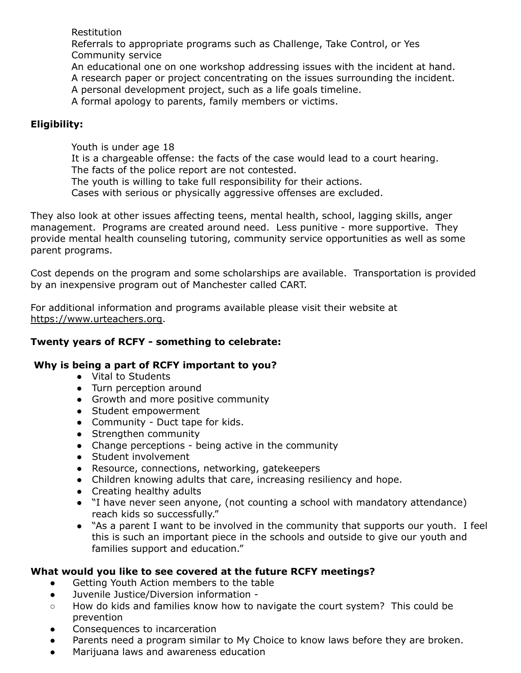**Restitution** 

Referrals to appropriate programs such as Challenge, Take Control, or Yes Community service

An educational one on one workshop addressing issues with the incident at hand. A research paper or project concentrating on the issues surrounding the incident.

A personal development project, such as a life goals timeline.

A formal apology to parents, family members or victims.

# **Eligibility:**

Youth is under age 18 It is a chargeable offense: the facts of the case would lead to a court hearing. The facts of the police report are not contested. The youth is willing to take full responsibility for their actions. Cases with serious or physically aggressive offenses are excluded.

They also look at other issues affecting teens, mental health, school, lagging skills, anger management. Programs are created around need. Less punitive - more supportive. They provide mental health counseling tutoring, community service opportunities as well as some parent programs.

Cost depends on the program and some scholarships are available. Transportation is provided by an inexpensive program out of Manchester called CART.

For additional information and programs available please visit their website at [https://www.urteachers.org.](https://www.urteachers.org)

## **Twenty years of RCFY - something to celebrate:**

## **Why is being a part of RCFY important to you?**

- Vital to Students
- Turn perception around
- Growth and more positive community
- Student empowerment
- Community Duct tape for kids.
- Strengthen community
- Change perceptions being active in the community
- Student involvement
- Resource, connections, networking, gatekeepers
- Children knowing adults that care, increasing resiliency and hope.
- Creating healthy adults
- "I have never seen anyone, (not counting a school with mandatory attendance) reach kids so successfully."
- "As a parent I want to be involved in the community that supports our youth. I feel this is such an important piece in the schools and outside to give our youth and families support and education."

## **What would you like to see covered at the future RCFY meetings?**

- Getting Youth Action members to the table
- Juvenile Justice/Diversion information -
- How do kids and families know how to navigate the court system? This could be prevention
- Consequences to incarceration
- Parents need a program similar to My Choice to know laws before they are broken.
- Marijuana laws and awareness education